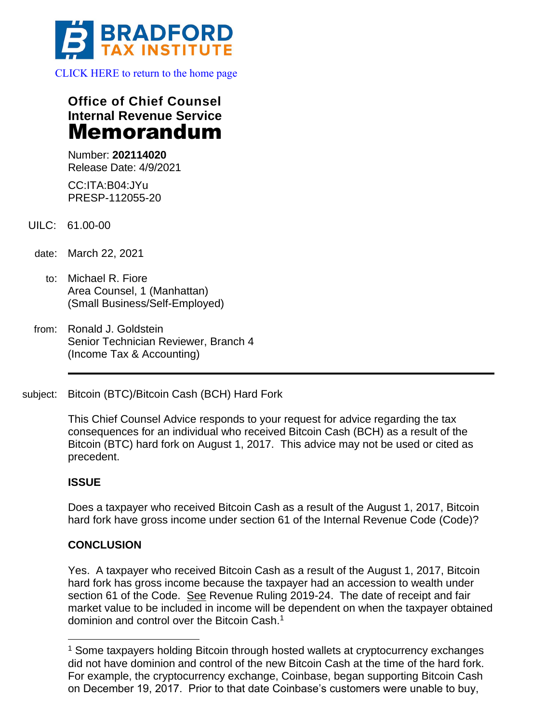

**Office of Chief Counsel Internal Revenue Service** Memorandum

Number: **202114020** Release Date: 4/9/2021

CC:ITA:B04:JYu PRESP-112055-20

- UILC: 61.00-00
- date: March 22, 2021
	- to: Michael R. Fiore Area Counsel, 1 (Manhattan) (Small Business/Self-Employed)
- from: Ronald J. Goldstein Senior Technician Reviewer, Branch 4 (Income Tax & Accounting)
- subject: Bitcoin (BTC)/Bitcoin Cash (BCH) Hard Fork

This Chief Counsel Advice responds to your request for advice regarding the tax consequences for an individual who received Bitcoin Cash (BCH) as a result of the Bitcoin (BTC) hard fork on August 1, 2017. This advice may not be used or cited as precedent.

## **ISSUE**

Does a taxpayer who received Bitcoin Cash as a result of the August 1, 2017, Bitcoin hard fork have gross income under section 61 of the Internal Revenue Code (Code)?

## **CONCLUSION**

Yes. A taxpayer who received Bitcoin Cash as a result of the August 1, 2017, Bitcoin hard fork has gross income because the taxpayer had an accession to wealth under section 61 of the Code. See Revenue Ruling 2019-24. The date of receipt and fair market value to be included in income will be dependent on when the taxpayer obtained dominion and control over the Bitcoin Cash.<sup>1</sup>

<sup>&</sup>lt;sup>1</sup> Some taxpayers holding Bitcoin through hosted wallets at cryptocurrency exchanges did not have dominion and control of the new Bitcoin Cash at the time of the hard fork. For example, the cryptocurrency exchange, Coinbase, began supporting Bitcoin Cash on December 19, 2017. Prior to that date Coinbase's customers were unable to buy,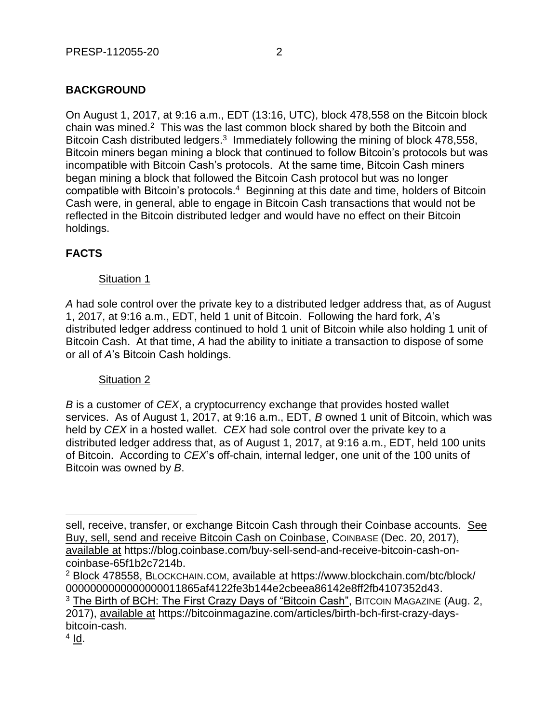# **BACKGROUND**

On August 1, 2017, at 9:16 a.m., EDT (13:16, UTC), block 478,558 on the Bitcoin block chain was mined. $2$  This was the last common block shared by both the Bitcoin and Bitcoin Cash distributed ledgers.<sup>3</sup> Immediately following the mining of block 478,558, Bitcoin miners began mining a block that continued to follow Bitcoin's protocols but was incompatible with Bitcoin Cash's protocols. At the same time, Bitcoin Cash miners began mining a block that followed the Bitcoin Cash protocol but was no longer compatible with Bitcoin's protocols.<sup>4</sup> Beginning at this date and time, holders of Bitcoin Cash were, in general, able to engage in Bitcoin Cash transactions that would not be reflected in the Bitcoin distributed ledger and would have no effect on their Bitcoin holdings.

## **FACTS**

#### Situation 1

*A* had sole control over the private key to a distributed ledger address that, as of August 1, 2017, at 9:16 a.m., EDT, held 1 unit of Bitcoin. Following the hard fork, *A*'s distributed ledger address continued to hold 1 unit of Bitcoin while also holding 1 unit of Bitcoin Cash. At that time, *A* had the ability to initiate a transaction to dispose of some or all of *A*'s Bitcoin Cash holdings.

## Situation 2

*B* is a customer of *CEX*, a cryptocurrency exchange that provides hosted wallet services. As of August 1, 2017, at 9:16 a.m., EDT, *B* owned 1 unit of Bitcoin, which was held by *CEX* in a hosted wallet. *CEX* had sole control over the private key to a distributed ledger address that, as of August 1, 2017, at 9:16 a.m., EDT, held 100 units of Bitcoin. According to *CEX*'s off-chain, internal ledger, one unit of the 100 units of Bitcoin was owned by *B*.

<sup>2</sup> Block 478558, BLOCKCHAIN.COM, available at https://www.blockchain.com/btc/block/ 0000000000000000011865af4122fe3b144e2cbeea86142e8ff2fb4107352d43.

<sup>3</sup> The Birth of BCH: The First Crazy Days of "Bitcoin Cash", BITCOIN MAGAZINE (Aug. 2, 2017), available at https://bitcoinmagazine.com/articles/birth-bch-first-crazy-daysbitcoin-cash.

<sup>4</sup> <u>Id</u>.

sell, receive, transfer, or exchange Bitcoin Cash through their Coinbase accounts. See Buy, sell, send and receive Bitcoin Cash on Coinbase, COINBASE (Dec. 20, 2017), available at https://blog.coinbase.com/buy-sell-send-and-receive-bitcoin-cash-oncoinbase-65f1b2c7214b.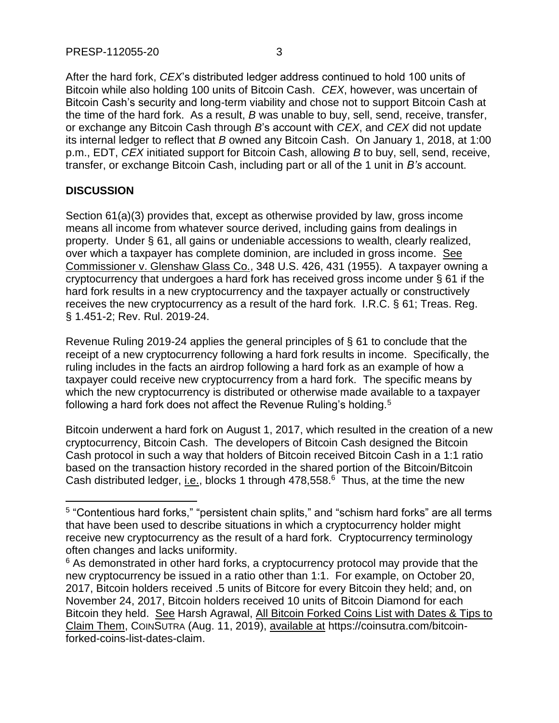After the hard fork, *CEX*'s distributed ledger address continued to hold 100 units of Bitcoin while also holding 100 units of Bitcoin Cash. *CEX*, however, was uncertain of Bitcoin Cash's security and long-term viability and chose not to support Bitcoin Cash at the time of the hard fork. As a result, *B* was unable to buy, sell, send, receive, transfer, or exchange any Bitcoin Cash through *B*'s account with *CEX*, and *CEX* did not update its internal ledger to reflect that *B* owned any Bitcoin Cash. On January 1, 2018, at 1:00 p.m., EDT, *CEX* initiated support for Bitcoin Cash, allowing *B* to buy, sell, send, receive, transfer, or exchange Bitcoin Cash, including part or all of the 1 unit in *B's* account.

## **DISCUSSION**

Section 61(a)(3) provides that, except as otherwise provided by law, gross income means all income from whatever source derived, including gains from dealings in property. Under § 61, all gains or undeniable accessions to wealth, clearly realized, over which a taxpayer has complete dominion, are included in gross income. See Commissioner v. Glenshaw Glass Co., 348 U.S. 426, 431 (1955). A taxpayer owning a cryptocurrency that undergoes a hard fork has received gross income under § 61 if the hard fork results in a new cryptocurrency and the taxpayer actually or constructively receives the new cryptocurrency as a result of the hard fork. I.R.C. § 61; Treas. Reg. § 1.451-2; Rev. Rul. 2019-24.

Revenue Ruling 2019-24 applies the general principles of § 61 to conclude that the receipt of a new cryptocurrency following a hard fork results in income. Specifically, the ruling includes in the facts an airdrop following a hard fork as an example of how a taxpayer could receive new cryptocurrency from a hard fork. The specific means by which the new cryptocurrency is distributed or otherwise made available to a taxpayer following a hard fork does not affect the Revenue Ruling's holding.<sup>5</sup>

Bitcoin underwent a hard fork on August 1, 2017, which resulted in the creation of a new cryptocurrency, Bitcoin Cash. The developers of Bitcoin Cash designed the Bitcoin Cash protocol in such a way that holders of Bitcoin received Bitcoin Cash in a 1:1 ratio based on the transaction history recorded in the shared portion of the Bitcoin/Bitcoin Cash distributed ledger, *i.e.*, blocks 1 through 478,558.<sup>6</sup> Thus, at the time the new

<sup>&</sup>lt;sup>5</sup> "Contentious hard forks," "persistent chain splits," and "schism hard forks" are all terms that have been used to describe situations in which a cryptocurrency holder might receive new cryptocurrency as the result of a hard fork. Cryptocurrency terminology often changes and lacks uniformity.

<sup>&</sup>lt;sup>6</sup> As demonstrated in other hard forks, a cryptocurrency protocol may provide that the new cryptocurrency be issued in a ratio other than 1:1. For example, on October 20, 2017, Bitcoin holders received .5 units of Bitcore for every Bitcoin they held; and, on November 24, 2017, Bitcoin holders received 10 units of Bitcoin Diamond for each Bitcoin they held. See Harsh Agrawal, All Bitcoin Forked Coins List with Dates & Tips to Claim Them, COINSUTRA (Aug. 11, 2019), available at https://coinsutra.com/bitcoinforked-coins-list-dates-claim.